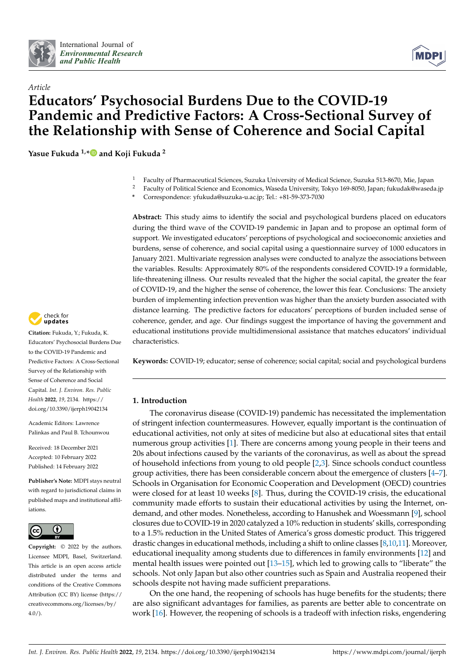



# *Article* **Educators' Psychosocial Burdens Due to the COVID-19 Pandemic and Predictive Factors: A Cross-Sectional Survey of the Relationship with Sense of Coherence and Social Capital**

**Yasue Fukuda 1,[\\*](https://orcid.org/0000-0001-7182-2552) and Koji Fukuda <sup>2</sup>**

- <sup>1</sup> Faculty of Pharmaceutical Sciences, Suzuka University of Medical Science, Suzuka 513-8670, Mie, Japan
- <sup>2</sup> Faculty of Political Science and Economics, Waseda University, Tokyo 169-8050, Japan; fukudak@waseda.jp
- **\*** Correspondence: yfukuda@suzuka-u.ac.jp; Tel.: +81-59-373-7030

**Abstract:** This study aims to identify the social and psychological burdens placed on educators during the third wave of the COVID-19 pandemic in Japan and to propose an optimal form of support. We investigated educators' perceptions of psychological and socioeconomic anxieties and burdens, sense of coherence, and social capital using a questionnaire survey of 1000 educators in January 2021. Multivariate regression analyses were conducted to analyze the associations between the variables. Results: Approximately 80% of the respondents considered COVID-19 a formidable, life-threatening illness. Our results revealed that the higher the social capital, the greater the fear of COVID-19, and the higher the sense of coherence, the lower this fear. Conclusions: The anxiety burden of implementing infection prevention was higher than the anxiety burden associated with distance learning. The predictive factors for educators' perceptions of burden included sense of coherence, gender, and age. Our findings suggest the importance of having the government and educational institutions provide multidimensional assistance that matches educators' individual characteristics.

**Keywords:** COVID-19; educator; sense of coherence; social capital; social and psychological burdens

# **1. Introduction**

The coronavirus disease (COVID-19) pandemic has necessitated the implementation of stringent infection countermeasures. However, equally important is the continuation of educational activities, not only at sites of medicine but also at educational sites that entail numerous group activities [\[1\]](#page-13-0). There are concerns among young people in their teens and 20s about infections caused by the variants of the coronavirus, as well as about the spread of household infections from young to old people [\[2,](#page-13-1)[3\]](#page-13-2). Since schools conduct countless group activities, there has been considerable concern about the emergence of clusters [\[4](#page-13-3)[–7\]](#page-13-4). Schools in Organisation for Economic Cooperation and Development (OECD) countries were closed for at least 10 weeks [\[8\]](#page-13-5). Thus, during the COVID-19 crisis, the educational community made efforts to sustain their educational activities by using the Internet, ondemand, and other modes. Nonetheless, according to Hanushek and Woessmann [\[9\]](#page-13-6), school closures due to COVID-19 in 2020 catalyzed a 10% reduction in students' skills, corresponding to a 1.5% reduction in the United States of America's gross domestic product. This triggered drastic changes in educational methods, including a shift to online classes [ $8,10,11$  $8,10,11$  $8,10,11$ ]. Moreover, educational inequality among students due to differences in family environments [\[12\]](#page-13-9) and mental health issues were pointed out [\[13](#page-13-10)[–15\]](#page-13-11), which led to growing calls to "liberate" the schools. Not only Japan but also other countries such as Spain and Australia reopened their schools despite not having made sufficient preparations.

On the one hand, the reopening of schools has huge benefits for the students; there are also significant advantages for families, as parents are better able to concentrate on work [\[16\]](#page-13-12). However, the reopening of schools is a tradeoff with infection risks, engendering



**Citation:** Fukuda, Y.; Fukuda, K. Educators' Psychosocial Burdens Due to the COVID-19 Pandemic and Predictive Factors: A Cross-Sectional Survey of the Relationship with Sense of Coherence and Social Capital. *Int. J. Environ. Res. Public Health* **2022**, *19*, 2134. [https://](https://doi.org/10.3390/ijerph19042134) [doi.org/10.3390/ijerph19042134](https://doi.org/10.3390/ijerph19042134)

Academic Editors: Lawrence Palinkas and Paul B. Tchounwou

Received: 18 December 2021 Accepted: 10 February 2022 Published: 14 February 2022

**Publisher's Note:** MDPI stays neutral with regard to jurisdictional claims in published maps and institutional affiliations.



**Copyright:** © 2022 by the authors. Licensee MDPI, Basel, Switzerland. This article is an open access article distributed under the terms and conditions of the Creative Commons Attribution (CC BY) license [\(https://](https://creativecommons.org/licenses/by/4.0/) [creativecommons.org/licenses/by/](https://creativecommons.org/licenses/by/4.0/)  $4.0/$ ).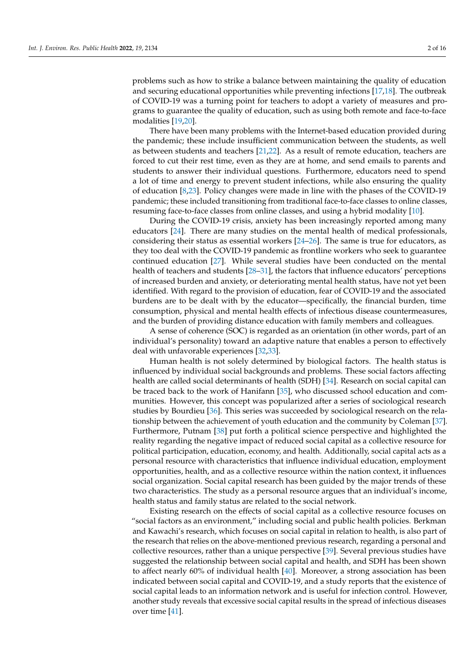problems such as how to strike a balance between maintaining the quality of education and securing educational opportunities while preventing infections [\[17,](#page-13-13)[18\]](#page-13-14). The outbreak of COVID-19 was a turning point for teachers to adopt a variety of measures and programs to guarantee the quality of education, such as using both remote and face-to-face modalities [\[19](#page-13-15)[,20\]](#page-13-16).

There have been many problems with the Internet-based education provided during the pandemic; these include insufficient communication between the students, as well as between students and teachers [\[21](#page-13-17)[,22\]](#page-14-0). As a result of remote education, teachers are forced to cut their rest time, even as they are at home, and send emails to parents and students to answer their individual questions. Furthermore, educators need to spend a lot of time and energy to prevent student infections, while also ensuring the quality of education [\[8](#page-13-5)[,23\]](#page-14-1). Policy changes were made in line with the phases of the COVID-19 pandemic; these included transitioning from traditional face-to-face classes to online classes, resuming face-to-face classes from online classes, and using a hybrid modality [\[10\]](#page-13-7).

During the COVID-19 crisis, anxiety has been increasingly reported among many educators [\[24\]](#page-14-2). There are many studies on the mental health of medical professionals, considering their status as essential workers  $[24-26]$  $[24-26]$ . The same is true for educators, as they too deal with the COVID-19 pandemic as frontline workers who seek to guarantee continued education [\[27\]](#page-14-4). While several studies have been conducted on the mental health of teachers and students [\[28](#page-14-5)[–31\]](#page-14-6), the factors that influence educators' perceptions of increased burden and anxiety, or deteriorating mental health status, have not yet been identified. With regard to the provision of education, fear of COVID-19 and the associated burdens are to be dealt with by the educator—specifically, the financial burden, time consumption, physical and mental health effects of infectious disease countermeasures, and the burden of providing distance education with family members and colleagues.

A sense of coherence (SOC) is regarded as an orientation (in other words, part of an individual's personality) toward an adaptive nature that enables a person to effectively deal with unfavorable experiences [\[32](#page-14-7)[,33\]](#page-14-8).

Human health is not solely determined by biological factors. The health status is influenced by individual social backgrounds and problems. These social factors affecting health are called social determinants of health (SDH) [\[34\]](#page-14-9). Research on social capital can be traced back to the work of Hanifann [\[35\]](#page-14-10), who discussed school education and communities. However, this concept was popularized after a series of sociological research studies by Bourdieu [\[36\]](#page-14-11). This series was succeeded by sociological research on the relationship between the achievement of youth education and the community by Coleman [\[37\]](#page-14-12). Furthermore, Putnam [\[38\]](#page-14-13) put forth a political science perspective and highlighted the reality regarding the negative impact of reduced social capital as a collective resource for political participation, education, economy, and health. Additionally, social capital acts as a personal resource with characteristics that influence individual education, employment opportunities, health, and as a collective resource within the nation context, it influences social organization. Social capital research has been guided by the major trends of these two characteristics. The study as a personal resource argues that an individual's income, health status and family status are related to the social network.

Existing research on the effects of social capital as a collective resource focuses on "social factors as an environment," including social and public health policies. Berkman and Kawachi's research, which focuses on social capital in relation to health, is also part of the research that relies on the above-mentioned previous research, regarding a personal and collective resources, rather than a unique perspective [\[39\]](#page-14-14). Several previous studies have suggested the relationship between social capital and health, and SDH has been shown to affect nearly 60% of individual health [\[40\]](#page-14-15). Moreover, a strong association has been indicated between social capital and COVID-19, and a study reports that the existence of social capital leads to an information network and is useful for infection control. However, another study reveals that excessive social capital results in the spread of infectious diseases over time [\[41\]](#page-14-16).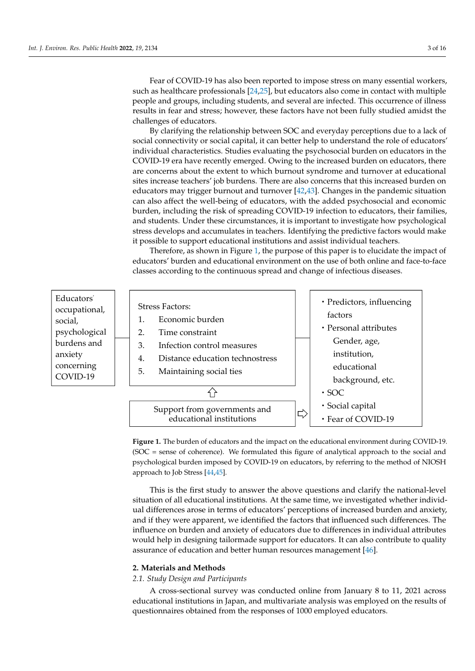Fear of COVID-19 has also been reported to impose stress on many essential workers, Fear of COVID-19 has also been reported to impose stress on many essential workers, such as healthcare professionals [\[24](#page-14-2)[,25\]](#page-14-17), but educators also come in contact with multiple such as healthcare professionals [24,25], but educators also come in contact with multiple people and groups, including students, and several are infected. This occurrence of illness people and groups, including students, and several are infected. This occurrence of illness results in fear and stress; however, these factors have not been fully studied amidst the results in fear and stress; however, these factors have not been fully studied amidst the challenges of educators. challenges of educators.

However, and that excessive social capital results in the spread of infece-social capital results in the space

By clarifying the relationship between SOC and everyday perceptions due to a lack of By clarifying the relationship between SOC and everyday perceptions due to a lack social connectivity or social capital, it can better help to understand the role of educators' individual characteristics. Studies evaluating the psychosocial burden on educators in the COVID-19 era have recently emerged. Owing to the increased burden on educators, there are concerns about the extent to which burnout syndrome and turnover at educational sites increase teachers' job burdens. There are also concerns that this increased burden on educators may trigger burnout and turnover [\[42,](#page-14-18)[43\]](#page-14-19). Changes in the pandemic situation can also affect the well-being of educators, with the added psychosocial and economic burden, including the risk of spreading COVID-19 infection to educators, their families, and students. Under these circumstances, it is important to investigate how psychological stress develops and accumulates in teachers. Identifying the predictive factors would make it possible to support educational institutions and assist individual teachers.

<span id="page-2-0"></span>Therefore, as shown in Figure 1, the purpose of this paper is to elucidate the impact of Therefore, as shown in Figur[e 1](#page-2-0), the purpose of this paper is to elucidate the impact educators' burden and educational environment on the use of both online and face-to-face classes according to the continuous spread and change of infectious diseases. face classes according to the continuous spread and change of infectious diseases.



**Figure 1.** The burden of educators and the impact on the educational environment during COVID-**Figure 1.** The burden of educators and the impact on the educational environment during COVID-19. 19. (SOC = sense of coherence). We formulated this figure of analytical approach to the social and (SOC = sense of coherence). We formulated this figure of analytical approach to the social and psychological burden imposed by COVID-19 on educators, by referring to the method of NIOSH psychological burden imposed by COVID-19 on educators, by referring to the method of NIOSH approach to Job Stress [\[44](#page-14-20)[,45](#page-14-21)]. approach to Job Stress [44,45].

This is the first study to answer the above questions and clarify the national-level This is the first study to answer the above questions and clarify the national-level situation of all educational institutions. At the same time, we investigated whether individual differences arose in terms of educators' perceptions of increased burden and anxiety, and if they were apparent, we identified the factors that influenced such differences. The influence on burden and anxiety of educators due to differences in individual attributes  $\,$ would help in designing tailormade support for educators. It can also contribute to quality assurance of education and better human resources management [\[46\]](#page-14-22).

# **2. Materials and Methods 2. Materials and Methods**

### *2.1. Study Design and Participants*

A cross-sectional survey was conducted online from January 8 to 11, 2021 across educational institutions in Japan, and multivariate analysis was employed on the results of questionnaires obtained from the responses of 1000 employed educators.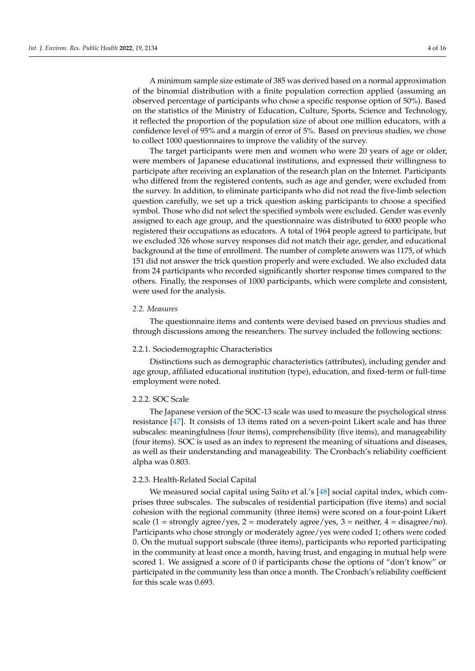A minimum sample size estimate of 385 was derived based on a normal approximation of the binomial distribution with a finite population correction applied (assuming an observed percentage of participants who chose a specific response option of 50%). Based on the statistics of the Ministry of Education, Culture, Sports, Science and Technology, it reflected the proportion of the population size of about one million educators, with a confidence level of 95% and a margin of error of 5%. Based on previous studies, we chose to collect 1000 questionnaires to improve the validity of the survey.

The target participants were men and women who were 20 years of age or older, were members of Japanese educational institutions, and expressed their willingness to participate after receiving an explanation of the research plan on the Internet. Participants who differed from the registered contents, such as age and gender, were excluded from the survey. In addition, to eliminate participants who did not read the five-limb selection question carefully, we set up a trick question asking participants to choose a specified symbol. Those who did not select the specified symbols were excluded. Gender was evenly assigned to each age group, and the questionnaire was distributed to 6000 people who registered their occupations as educators. A total of 1964 people agreed to participate, but we excluded 326 whose survey responses did not match their age, gender, and educational background at the time of enrollment. The number of complete answers was 1175, of which 151 did not answer the trick question properly and were excluded. We also excluded data from 24 participants who recorded significantly shorter response times compared to the others. Finally, the responses of 1000 participants, which were complete and consistent, were used for the analysis.

### *2.2. Measures*

The questionnaire items and contents were devised based on previous studies and through discussions among the researchers. The survey included the following sections:

### 2.2.1. Sociodemographic Characteristics

Distinctions such as demographic characteristics (attributes), including gender and age group, affiliated educational institution (type), education, and fixed-term or full-time employment were noted.

# 2.2.2. SOC Scale

The Japanese version of the SOC-13 scale was used to measure the psychological stress resistance [\[47\]](#page-14-23). It consists of 13 items rated on a seven-point Likert scale and has three subscales: meaningfulness (four items), comprehensibility (five items), and manageability (four items). SOC is used as an index to represent the meaning of situations and diseases, as well as their understanding and manageability. The Cronbach's reliability coefficient alpha was 0.803.

### 2.2.3. Health-Related Social Capital

We measured social capital using Saito et al.'s [\[48\]](#page-14-24) social capital index, which comprises three subscales. The subscales of residential participation (five items) and social cohesion with the regional community (three items) were scored on a four-point Likert scale (1 = strongly agree/yes, 2 = moderately agree/yes, 3 = neither, 4 = disagree/no). Participants who chose strongly or moderately agree/yes were coded 1; others were coded 0. On the mutual support subscale (three items), participants who reported participating in the community at least once a month, having trust, and engaging in mutual help were scored 1. We assigned a score of 0 if participants chose the options of "don't know" or participated in the community less than once a month. The Cronbach's reliability coefficient for this scale was 0.693.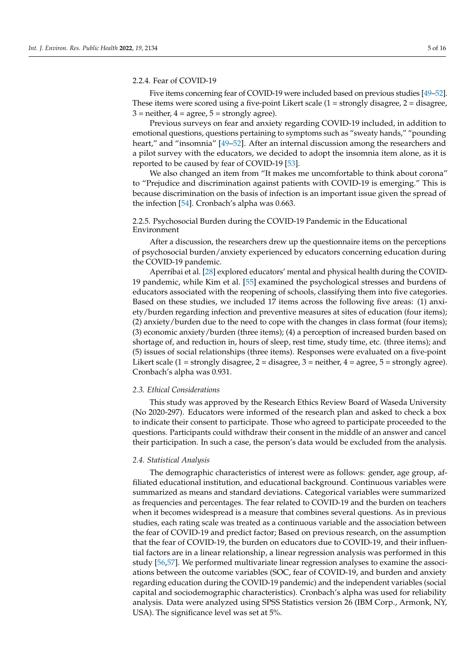### 2.2.4. Fear of COVID-19

Five items concerning fear of COVID-19 were included based on previous studies [\[49](#page-14-25)[–52\]](#page-14-26). These items were scored using a five-point Likert scale  $(1 =$  strongly disagree,  $2 =$  disagree,  $3$  = neither,  $4$  = agree,  $5$  = strongly agree).

Previous surveys on fear and anxiety regarding COVID-19 included, in addition to emotional questions, questions pertaining to symptoms such as "sweaty hands," "pounding heart," and "insomnia" [\[49](#page-14-25)[–52\]](#page-14-26). After an internal discussion among the researchers and a pilot survey with the educators, we decided to adopt the insomnia item alone, as it is reported to be caused by fear of COVID-19 [\[53\]](#page-15-0).

We also changed an item from "It makes me uncomfortable to think about corona" to "Prejudice and discrimination against patients with COVID-19 is emerging." This is because discrimination on the basis of infection is an important issue given the spread of the infection [\[54\]](#page-15-1). Cronbach's alpha was 0.663.

# 2.2.5. Psychosocial Burden during the COVID-19 Pandemic in the Educational Environment

After a discussion, the researchers drew up the questionnaire items on the perceptions of psychosocial burden/anxiety experienced by educators concerning education during the COVID-19 pandemic.

Aperribai et al. [\[28\]](#page-14-5) explored educators' mental and physical health during the COVID-19 pandemic, while Kim et al. [\[55\]](#page-15-2) examined the psychological stresses and burdens of educators associated with the reopening of schools, classifying them into five categories. Based on these studies, we included 17 items across the following five areas: (1) anxiety/burden regarding infection and preventive measures at sites of education (four items); (2) anxiety/burden due to the need to cope with the changes in class format (four items); (3) economic anxiety/burden (three items); (4) a perception of increased burden based on shortage of, and reduction in, hours of sleep, rest time, study time, etc. (three items); and (5) issues of social relationships (three items). Responses were evaluated on a five-point Likert scale (1 = strongly disagree, 2 = disagree, 3 = neither,  $4 = \text{agree}, 5 = \text{strongly agree}$ ). Cronbach's alpha was 0.931.

### *2.3. Ethical Considerations*

This study was approved by the Research Ethics Review Board of Waseda University (No 2020-297). Educators were informed of the research plan and asked to check a box to indicate their consent to participate. Those who agreed to participate proceeded to the questions. Participants could withdraw their consent in the middle of an answer and cancel their participation. In such a case, the person's data would be excluded from the analysis.

### *2.4. Statistical Analysis*

The demographic characteristics of interest were as follows: gender, age group, affiliated educational institution, and educational background. Continuous variables were summarized as means and standard deviations. Categorical variables were summarized as frequencies and percentages. The fear related to COVID-19 and the burden on teachers when it becomes widespread is a measure that combines several questions. As in previous studies, each rating scale was treated as a continuous variable and the association between the fear of COVID-19 and predict factor; Based on previous research, on the assumption that the fear of COVID-19, the burden on educators due to COVID-19, and their influential factors are in a linear relationship, a linear regression analysis was performed in this study [\[56,](#page-15-3)[57\]](#page-15-4). We performed multivariate linear regression analyses to examine the associations between the outcome variables (SOC, fear of COVID-19, and burden and anxiety regarding education during the COVID-19 pandemic) and the independent variables (social capital and sociodemographic characteristics). Cronbach's alpha was used for reliability analysis. Data were analyzed using SPSS Statistics version 26 (IBM Corp., Armonk, NY, USA). The significance level was set at 5%.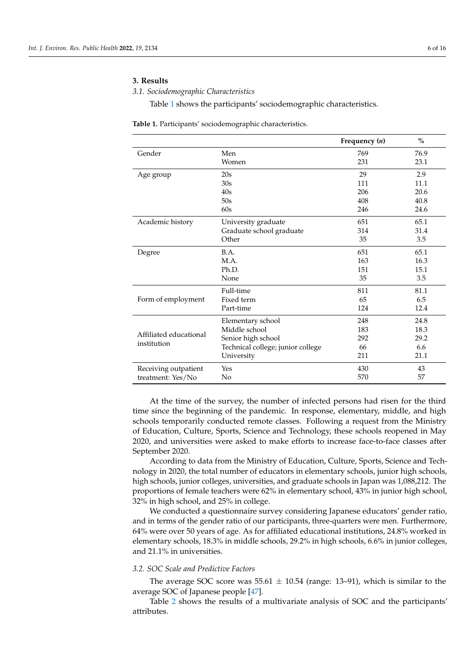# **3. Results**

## *3.1. Sociodemographic Characteristics*

Table [1](#page-5-0) shows the participants' sociodemographic characteristics.

<span id="page-5-0"></span>**Table 1.** Participants' sociodemographic characteristics.

|                        |                                   | Frequency $(n)$ | $\frac{0}{0}$ |
|------------------------|-----------------------------------|-----------------|---------------|
| Gender                 | Men                               | 769             | 76.9          |
|                        | Women                             | 231             | 23.1          |
| Age group              | 20s                               | 29              | 2.9           |
|                        | 30s                               | 111             | 11.1          |
|                        | 40s                               | 206             | 20.6          |
|                        | 50s                               | 408             | 40.8          |
|                        | 60s                               | 246             | 24.6          |
| Academic history       | University graduate               | 651             | 65.1          |
|                        | Graduate school graduate          | 314             | 31.4          |
|                        | Other                             | 35              | 3.5           |
| Degree                 | B.A.                              | 651             | 65.1          |
|                        | M.A.                              | 163             | 16.3          |
|                        | Ph.D.                             | 151             | 15.1          |
|                        | None                              | 35              | 3.5           |
|                        | Full-time                         | 811             | 81.1          |
| Form of employment     | Fixed term                        | 65              | 6.5           |
|                        | Part-time                         | 124             | 12.4          |
|                        | Elementary school                 | 248             | 24.8          |
|                        | Middle school                     | 183             | 18.3          |
| Affiliated educational | Senior high school                | 292             | 29.2          |
| institution            | Technical college; junior college | 66              | 6.6           |
|                        | University                        | 211             | 21.1          |
| Receiving outpatient   | Yes                               | 430             | 43            |
| treatment: Yes/No      | No                                | 570             | 57            |

At the time of the survey, the number of infected persons had risen for the third time since the beginning of the pandemic. In response, elementary, middle, and high schools temporarily conducted remote classes. Following a request from the Ministry of Education, Culture, Sports, Science and Technology, these schools reopened in May 2020, and universities were asked to make efforts to increase face-to-face classes after September 2020.

According to data from the Ministry of Education, Culture, Sports, Science and Technology in 2020, the total number of educators in elementary schools, junior high schools, high schools, junior colleges, universities, and graduate schools in Japan was 1,088,212. The proportions of female teachers were 62% in elementary school, 43% in junior high school, 32% in high school, and 25% in college.

We conducted a questionnaire survey considering Japanese educators' gender ratio, and in terms of the gender ratio of our participants, three-quarters were men. Furthermore, 64% were over 50 years of age. As for affiliated educational institutions, 24.8% worked in elementary schools, 18.3% in middle schools, 29.2% in high schools, 6.6% in junior colleges, and 21.1% in universities.

# *3.2. SOC Scale and Predictive Factors*

The average SOC score was  $55.61 \pm 10.54$  (range: 13–91), which is similar to the average SOC of Japanese people [\[47\]](#page-14-23).

Table [2](#page-6-0) shows the results of a multivariate analysis of SOC and the participants' attributes.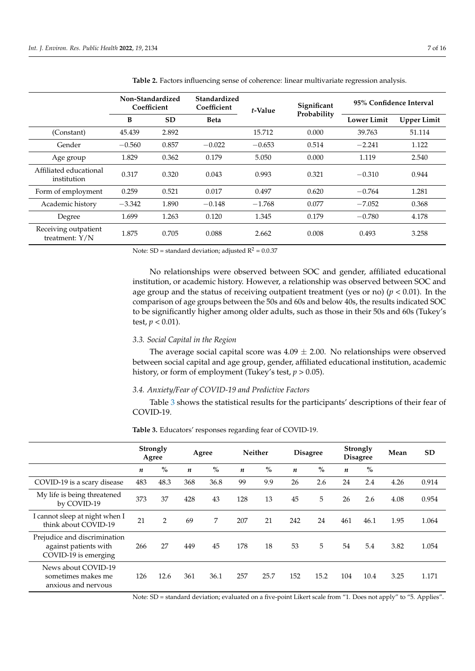|                                          | Non-Standardized<br>Coefficient |           | <b>Standardized</b><br>Coefficient | t-Value  | Significant | 95% Confidence Interval |                    |  |
|------------------------------------------|---------------------------------|-----------|------------------------------------|----------|-------------|-------------------------|--------------------|--|
|                                          | B                               | <b>SD</b> | <b>Beta</b>                        |          | Probability | <b>Lower Limit</b>      | <b>Upper Limit</b> |  |
| (Constant)                               | 45.439                          | 2.892     |                                    | 15.712   | 0.000       | 39.763                  | 51.114             |  |
| Gender                                   | $-0.560$                        | 0.857     | $-0.022$                           | $-0.653$ | 0.514       | $-2.241$                | 1.122              |  |
| Age group                                | 1.829                           | 0.362     | 0.179                              | 5.050    | 0.000       | 1.119                   | 2.540              |  |
| Affiliated educational<br>institution    | 0.317                           | 0.320     | 0.043                              | 0.993    | 0.321       | $-0.310$                | 0.944              |  |
| Form of employment                       | 0.259                           | 0.521     | 0.017                              | 0.497    | 0.620       | $-0.764$                | 1.281              |  |
| Academic history                         | $-3.342$                        | 1.890     | $-0.148$                           | $-1.768$ | 0.077       | $-7.052$                | 0.368              |  |
| Degree                                   | 1.699                           | 1.263     | 0.120                              | 1.345    | 0.179       | $-0.780$                | 4.178              |  |
| Receiving outpatient<br>treatment: $Y/N$ | 1.875                           | 0.705     | 0.088                              | 2.662    | 0.008       | 0.493                   | 3.258              |  |

<span id="page-6-0"></span>**Table 2.** Factors influencing sense of coherence: linear multivariate regression analysis.

Note: SD = standard deviation; adjusted  $R^2 = 0.0.37$ 

No relationships were observed between SOC and gender, affiliated educational institution, or academic history. However, a relationship was observed between SOC and age group and the status of receiving outpatient treatment (yes or no) ( $p < 0.01$ ). In the comparison of age groups between the 50s and 60s and below 40s, the results indicated SOC to be significantly higher among older adults, such as those in their 50s and 60s (Tukey's test,  $p < 0.01$ ).

# *3.3. Social Capital in the Region*

The average social capital score was  $4.09 \pm 2.00$ . No relationships were observed between social capital and age group, gender, affiliated educational institution, academic history, or form of employment (Tukey's test, *p* > 0.05).

# *3.4. Anxiety/Fear of COVID-19 and Predictive Factors*

Table [3](#page-6-1) shows the statistical results for the participants' descriptions of their fear of COVID-19.

|                                                                               |     | <b>Strongly</b><br>Agree |                  | Agree |                  | Neither |                  | <b>Disagree</b> |                  | Strongly<br><b>Disagree</b> | Mean | <b>SD</b> |
|-------------------------------------------------------------------------------|-----|--------------------------|------------------|-------|------------------|---------|------------------|-----------------|------------------|-----------------------------|------|-----------|
|                                                                               | n   | $\%$                     | $\boldsymbol{n}$ | $\%$  | $\boldsymbol{n}$ | $\%$    | $\boldsymbol{n}$ | $\%$            | $\boldsymbol{n}$ | $\%$                        |      |           |
| COVID-19 is a scary disease                                                   | 483 | 48.3                     | 368              | 36.8  | 99               | 9.9     | 26               | 2.6             | 24               | 2.4                         | 4.26 | 0.914     |
| My life is being threatened<br>by COVID-19                                    | 373 | 37                       | 428              | 43    | 128              | 13      | 45               | 5               | 26               | 2.6                         | 4.08 | 0.954     |
| I cannot sleep at night when I<br>think about COVID-19                        | 21  | $\overline{2}$           | 69               | 7     | 207              | 21      | 242              | 24              | 461              | 46.1                        | 1.95 | 1.064     |
| Prejudice and discrimination<br>against patients with<br>COVID-19 is emerging | 266 | 27                       | 449              | 45    | 178              | 18      | 53               | 5               | 54               | 5.4                         | 3.82 | 1.054     |
| News about COVID-19<br>sometimes makes me<br>anxious and nervous              | 126 | 12.6                     | 361              | 36.1  | 257              | 25.7    | 152              | 15.2            | 104              | 10.4                        | 3.25 | 1.171     |

<span id="page-6-1"></span>**Table 3.** Educators' responses regarding fear of COVID-19.

Note: SD = standard deviation; evaluated on a five-point Likert scale from "1. Does not apply" to "5. Applies".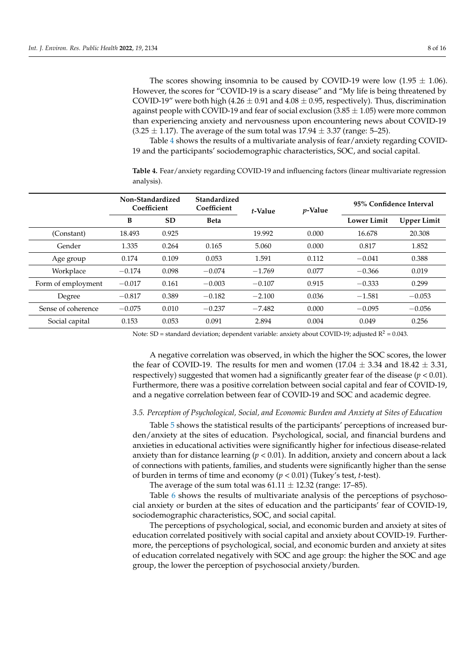The scores showing insomnia to be caused by COVID-19 were low  $(1.95 \pm 1.06)$ . However, the scores for "COVID-19 is a scary disease" and "My life is being threatened by COVID-19" were both high (4.26  $\pm$  0.91 and 4.08  $\pm$  0.95, respectively). Thus, discrimination against people with COVID-19 and fear of social exclusion  $(3.85 \pm 1.05)$  were more common than experiencing anxiety and nervousness upon encountering news about COVID-19  $(3.25 \pm 1.17)$ . The average of the sum total was  $17.94 \pm 3.37$  (range: 5–25).

Table [4](#page-7-0) shows the results of a multivariate analysis of fear/anxiety regarding COVID-19 and the participants' sociodemographic characteristics, SOC, and social capital.

<span id="page-7-0"></span>**Table 4.** Fear/anxiety regarding COVID-19 and influencing factors (linear multivariate regression analysis).

|                    | Non-Standardized<br>Coefficient |           | Standardized<br>Coefficient | <i>p</i> -Value<br>t-Value |       | 95% Confidence Interval |                    |  |
|--------------------|---------------------------------|-----------|-----------------------------|----------------------------|-------|-------------------------|--------------------|--|
|                    | B                               | <b>SD</b> | <b>Beta</b>                 |                            |       | <b>Lower Limit</b>      | <b>Upper Limit</b> |  |
| (Constant)         | 18.493                          | 0.925     |                             | 19.992                     | 0.000 | 16.678                  | 20.308             |  |
| Gender             | 1.335                           | 0.264     | 0.165                       | 5.060                      | 0.000 | 0.817                   | 1.852              |  |
| Age group          | 0.174                           | 0.109     | 0.053                       | 1.591                      | 0.112 | $-0.041$                | 0.388              |  |
| Workplace          | $-0.174$                        | 0.098     | $-0.074$                    | $-1.769$                   | 0.077 | $-0.366$                | 0.019              |  |
| Form of employment | $-0.017$                        | 0.161     | $-0.003$                    | $-0.107$                   | 0.915 | $-0.333$                | 0.299              |  |
| Degree             | $-0.817$                        | 0.389     | $-0.182$                    | $-2.100$                   | 0.036 | $-1.581$                | $-0.053$           |  |
| Sense of coherence | $-0.075$                        | 0.010     | $-0.237$                    | $-7.482$                   | 0.000 | $-0.095$                | $-0.056$           |  |
| Social capital     | 0.153                           | 0.053     | 0.091                       | 2.894                      | 0.004 | 0.049                   | 0.256              |  |

Note: SD = standard deviation; dependent variable: anxiety about COVID-19; adjusted  $R^2 = 0.043$ .

A negative correlation was observed, in which the higher the SOC scores, the lower the fear of COVID-19. The results for men and women  $(17.04 \pm 3.34$  and  $18.42 \pm 3.31$ , respectively) suggested that women had a significantly greater fear of the disease  $(p < 0.01)$ . Furthermore, there was a positive correlation between social capital and fear of COVID-19, and a negative correlation between fear of COVID-19 and SOC and academic degree.

### *3.5. Perception of Psychological, Social, and Economic Burden and Anxiety at Sites of Education*

Table [5](#page-8-0) shows the statistical results of the participants' perceptions of increased burden/anxiety at the sites of education. Psychological, social, and financial burdens and anxieties in educational activities were significantly higher for infectious disease-related anxiety than for distance learning  $(p < 0.01)$ . In addition, anxiety and concern about a lack of connections with patients, families, and students were significantly higher than the sense of burden in terms of time and economy (*p* < 0.01) (Tukey's test, *t*-test).

The average of the sum total was  $61.11 \pm 12.32$  (range: 17–85).

Table [6](#page-9-0) shows the results of multivariate analysis of the perceptions of psychosocial anxiety or burden at the sites of education and the participants' fear of COVID-19, sociodemographic characteristics, SOC, and social capital.

The perceptions of psychological, social, and economic burden and anxiety at sites of education correlated positively with social capital and anxiety about COVID-19. Furthermore, the perceptions of psychological, social, and economic burden and anxiety at sites of education correlated negatively with SOC and age group: the higher the SOC and age group, the lower the perception of psychosocial anxiety/burden.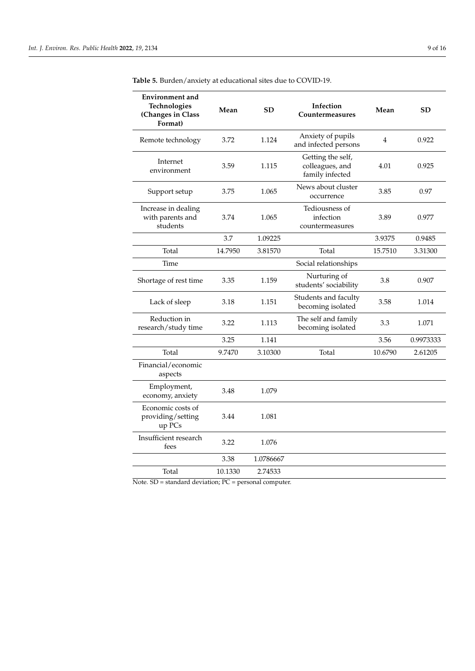| <b>Environment</b> and<br>Technologies<br>(Changes in Class<br>Format) | Mean    | <b>SD</b> | Infection<br>Countermeasures                            | Mean    | <b>SD</b> |
|------------------------------------------------------------------------|---------|-----------|---------------------------------------------------------|---------|-----------|
| Remote technology                                                      | 3.72    | 1.124     | Anxiety of pupils<br>and infected persons               | 4       | 0.922     |
| Internet<br>environment                                                | 3.59    | 1.115     | Getting the self,<br>colleagues, and<br>family infected | 4.01    | 0.925     |
| Support setup                                                          | 3.75    | 1.065     | News about cluster<br>occurrence                        | 3.85    | 0.97      |
| Increase in dealing<br>with parents and<br>students                    | 3.74    | 1.065     | Tediousness of<br>infection<br>countermeasures          | 3.89    | 0.977     |
|                                                                        | 3.7     | 1.09225   |                                                         | 3.9375  | 0.9485    |
| Total                                                                  | 14.7950 | 3.81570   | Total                                                   | 15.7510 | 3.31300   |
| Time                                                                   |         |           | Social relationships                                    |         |           |
| Shortage of rest time                                                  | 3.35    | 1.159     | Nurturing of<br>students' sociability                   | 3.8     | 0.907     |
| Lack of sleep                                                          | 3.18    | 1.151     | Students and faculty<br>becoming isolated               | 3.58    | 1.014     |
| Reduction in<br>research/study time                                    | 3.22    | 1.113     | The self and family<br>becoming isolated                | 3.3     | 1.071     |
|                                                                        | 3.25    | 1.141     |                                                         | 3.56    | 0.9973333 |
| Total                                                                  | 9.7470  | 3.10300   | Total                                                   | 10.6790 | 2.61205   |
| Financial/economic<br>aspects                                          |         |           |                                                         |         |           |
| Employment,<br>economy, anxiety                                        | 3.48    | 1.079     |                                                         |         |           |
| Economic costs of<br>providing/setting<br>up PCs                       | 3.44    | 1.081     |                                                         |         |           |
| Insufficient research<br>fees                                          | 3.22    | 1.076     |                                                         |         |           |
|                                                                        | 3.38    | 1.0786667 |                                                         |         |           |
| Total                                                                  | 10.1330 | 2.74533   |                                                         |         |           |

<span id="page-8-0"></span>**Table 5.** Burden/anxiety at educational sites due to COVID-19.

Note. SD = standard deviation; PC = personal computer.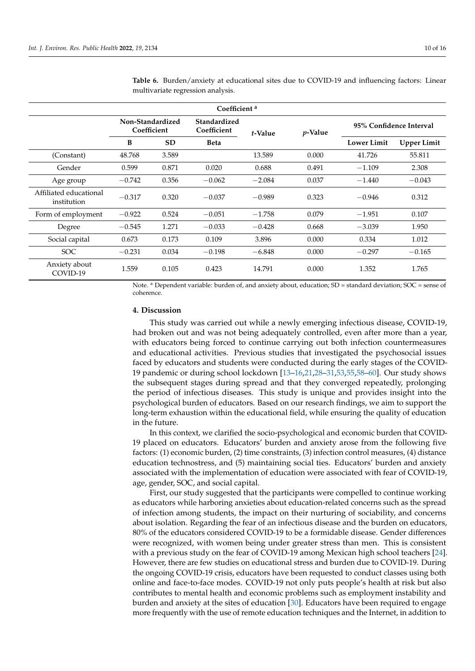| Coefficient <sup>a</sup>              |                                 |           |                             |          |                 |                         |                    |  |  |
|---------------------------------------|---------------------------------|-----------|-----------------------------|----------|-----------------|-------------------------|--------------------|--|--|
|                                       | Non-Standardized<br>Coefficient |           | Standardized<br>Coefficient | t-Value  | <i>p</i> -Value | 95% Confidence Interval |                    |  |  |
|                                       | B                               | <b>SD</b> | <b>Beta</b>                 |          |                 | <b>Lower Limit</b>      | <b>Upper Limit</b> |  |  |
| (Constant)                            | 48.768                          | 3.589     |                             | 13.589   | 0.000           | 41.726                  | 55.811             |  |  |
| Gender                                | 0.599                           | 0.871     | 0.020                       | 0.688    | 0.491           | $-1.109$                | 2.308              |  |  |
| Age group                             | $-0.742$                        | 0.356     | $-0.062$                    | $-2.084$ | 0.037           | $-1.440$                | $-0.043$           |  |  |
| Affiliated educational<br>institution | $-0.317$                        | 0.320     | $-0.037$                    | $-0.989$ | 0.323           | $-0.946$                | 0.312              |  |  |
| Form of employment                    | $-0.922$                        | 0.524     | $-0.051$                    | $-1.758$ | 0.079           | $-1.951$                | 0.107              |  |  |
| Degree                                | $-0.545$                        | 1.271     | $-0.033$                    | $-0.428$ | 0.668           | $-3.039$                | 1.950              |  |  |
| Social capital                        | 0.673                           | 0.173     | 0.109                       | 3.896    | 0.000           | 0.334                   | 1.012              |  |  |
| SOC.                                  | $-0.231$                        | 0.034     | $-0.198$                    | $-6.848$ | 0.000           | $-0.297$                | $-0.165$           |  |  |
| Anxiety about<br>COVID-19             | 1.559                           | 0.105     | 0.423                       | 14.791   | 0.000           | 1.352                   | 1.765              |  |  |

<span id="page-9-0"></span>**Table 6.** Burden/anxiety at educational sites due to COVID-19 and influencing factors: Linear multivariate regression analysis.

Note. <sup>a</sup> Dependent variable: burden of, and anxiety about, education; SD = standard deviation; SOC = sense of coherence.

# **4. Discussion**

This study was carried out while a newly emerging infectious disease, COVID-19, had broken out and was not being adequately controlled, even after more than a year, with educators being forced to continue carrying out both infection countermeasures and educational activities. Previous studies that investigated the psychosocial issues faced by educators and students were conducted during the early stages of the COVID-19 pandemic or during school lockdown [\[13](#page-13-10)[–16](#page-13-12)[,21](#page-13-17)[,28](#page-14-5)[–31](#page-14-6)[,53](#page-15-0)[,55](#page-15-2)[,58–](#page-15-5)[60\]](#page-15-6). Our study shows the subsequent stages during spread and that they converged repeatedly, prolonging the period of infectious diseases. This study is unique and provides insight into the psychological burden of educators. Based on our research findings, we aim to support the long-term exhaustion within the educational field, while ensuring the quality of education in the future.

In this context, we clarified the socio-psychological and economic burden that COVID-19 placed on educators. Educators' burden and anxiety arose from the following five factors: (1) economic burden, (2) time constraints, (3) infection control measures, (4) distance education technostress, and (5) maintaining social ties. Educators' burden and anxiety associated with the implementation of education were associated with fear of COVID-19, age, gender, SOC, and social capital.

First, our study suggested that the participants were compelled to continue working as educators while harboring anxieties about education-related concerns such as the spread of infection among students, the impact on their nurturing of sociability, and concerns about isolation. Regarding the fear of an infectious disease and the burden on educators, 80% of the educators considered COVID-19 to be a formidable disease. Gender differences were recognized, with women being under greater stress than men. This is consistent with a previous study on the fear of COVID-19 among Mexican high school teachers [\[24\]](#page-14-2). However, there are few studies on educational stress and burden due to COVID-19. During the ongoing COVID-19 crisis, educators have been requested to conduct classes using both online and face-to-face modes. COVID-19 not only puts people's health at risk but also contributes to mental health and economic problems such as employment instability and burden and anxiety at the sites of education [\[30\]](#page-14-27). Educators have been required to engage more frequently with the use of remote education techniques and the Internet, in addition to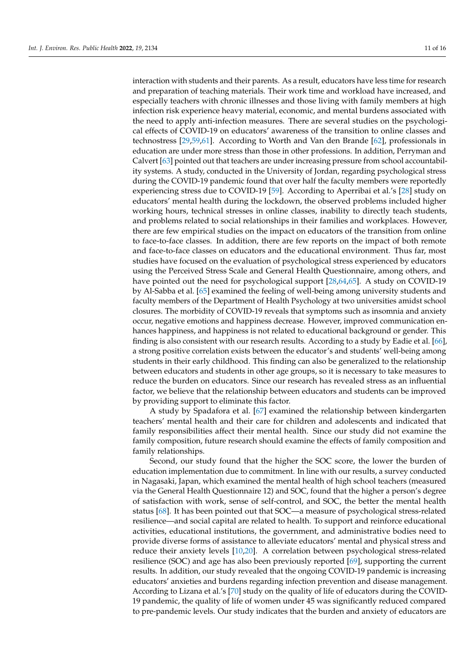interaction with students and their parents. As a result, educators have less time for research and preparation of teaching materials. Their work time and workload have increased, and especially teachers with chronic illnesses and those living with family members at high infection risk experience heavy material, economic, and mental burdens associated with the need to apply anti-infection measures. There are several studies on the psychological effects of COVID-19 on educators' awareness of the transition to online classes and technostress [\[29,](#page-14-28)[59,](#page-15-7)[61\]](#page-15-8). According to Worth and Van den Brande [\[62\]](#page-15-9), professionals in education are under more stress than those in other professions. In addition, Perryman and Calvert [\[63\]](#page-15-10) pointed out that teachers are under increasing pressure from school accountability systems. A study, conducted in the University of Jordan, regarding psychological stress during the COVID-19 pandemic found that over half the faculty members were reportedly experiencing stress due to COVID-19 [\[59\]](#page-15-7). According to Aperribai et al.'s [\[28\]](#page-14-5) study on educators' mental health during the lockdown, the observed problems included higher working hours, technical stresses in online classes, inability to directly teach students, and problems related to social relationships in their families and workplaces. However, there are few empirical studies on the impact on educators of the transition from online to face-to-face classes. In addition, there are few reports on the impact of both remote and face-to-face classes on educators and the educational environment. Thus far, most studies have focused on the evaluation of psychological stress experienced by educators using the Perceived Stress Scale and General Health Questionnaire, among others, and have pointed out the need for psychological support [\[28](#page-14-5)[,64](#page-15-11)[,65\]](#page-15-12). A study on COVID-19 by Al-Sabba et al. [\[65\]](#page-15-12) examined the feeling of well-being among university students and faculty members of the Department of Health Psychology at two universities amidst school closures. The morbidity of COVID-19 reveals that symptoms such as insomnia and anxiety occur, negative emotions and happiness decrease. However, improved communication enhances happiness, and happiness is not related to educational background or gender. This finding is also consistent with our research results. According to a study by Eadie et al. [\[66\]](#page-15-13), a strong positive correlation exists between the educator's and students' well-being among students in their early childhood. This finding can also be generalized to the relationship between educators and students in other age groups, so it is necessary to take measures to reduce the burden on educators. Since our research has revealed stress as an influential factor, we believe that the relationship between educators and students can be improved by providing support to eliminate this factor.

A study by Spadafora et al. [\[67\]](#page-15-14) examined the relationship between kindergarten teachers' mental health and their care for children and adolescents and indicated that family responsibilities affect their mental health. Since our study did not examine the family composition, future research should examine the effects of family composition and family relationships.

Second, our study found that the higher the SOC score, the lower the burden of education implementation due to commitment. In line with our results, a survey conducted in Nagasaki, Japan, which examined the mental health of high school teachers (measured via the General Health Questionnaire 12) and SOC, found that the higher a person's degree of satisfaction with work, sense of self-control, and SOC, the better the mental health status [\[68\]](#page-15-15). It has been pointed out that SOC—a measure of psychological stress-related resilience—and social capital are related to health. To support and reinforce educational activities, educational institutions, the government, and administrative bodies need to provide diverse forms of assistance to alleviate educators' mental and physical stress and reduce their anxiety levels [\[10](#page-13-7)[,20\]](#page-13-16). A correlation between psychological stress-related resilience (SOC) and age has also been previously reported [\[69\]](#page-15-16), supporting the current results. In addition, our study revealed that the ongoing COVID-19 pandemic is increasing educators' anxieties and burdens regarding infection prevention and disease management. According to Lizana et al.'s [\[70\]](#page-15-17) study on the quality of life of educators during the COVID-19 pandemic, the quality of life of women under 45 was significantly reduced compared to pre-pandemic levels. Our study indicates that the burden and anxiety of educators are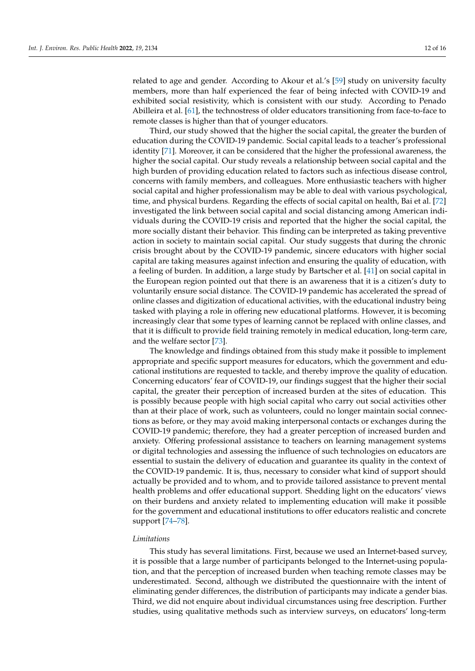related to age and gender. According to Akour et al.'s [\[59\]](#page-15-7) study on university faculty members, more than half experienced the fear of being infected with COVID-19 and exhibited social resistivity, which is consistent with our study. According to Penado Abilleira et al. [\[61\]](#page-15-8), the technostress of older educators transitioning from face-to-face to remote classes is higher than that of younger educators.

Third, our study showed that the higher the social capital, the greater the burden of education during the COVID-19 pandemic. Social capital leads to a teacher's professional identity [\[71\]](#page-15-18). Moreover, it can be considered that the higher the professional awareness, the higher the social capital. Our study reveals a relationship between social capital and the high burden of providing education related to factors such as infectious disease control, concerns with family members, and colleagues. More enthusiastic teachers with higher social capital and higher professionalism may be able to deal with various psychological, time, and physical burdens. Regarding the effects of social capital on health, Bai et al. [\[72\]](#page-15-19) investigated the link between social capital and social distancing among American individuals during the COVID-19 crisis and reported that the higher the social capital, the more socially distant their behavior. This finding can be interpreted as taking preventive action in society to maintain social capital. Our study suggests that during the chronic crisis brought about by the COVID-19 pandemic, sincere educators with higher social capital are taking measures against infection and ensuring the quality of education, with a feeling of burden. In addition, a large study by Bartscher et al. [\[41\]](#page-14-16) on social capital in the European region pointed out that there is an awareness that it is a citizen's duty to voluntarily ensure social distance. The COVID-19 pandemic has accelerated the spread of online classes and digitization of educational activities, with the educational industry being tasked with playing a role in offering new educational platforms. However, it is becoming increasingly clear that some types of learning cannot be replaced with online classes, and that it is difficult to provide field training remotely in medical education, long-term care, and the welfare sector [\[73\]](#page-15-20).

The knowledge and findings obtained from this study make it possible to implement appropriate and specific support measures for educators, which the government and educational institutions are requested to tackle, and thereby improve the quality of education. Concerning educators' fear of COVID-19, our findings suggest that the higher their social capital, the greater their perception of increased burden at the sites of education. This is possibly because people with high social capital who carry out social activities other than at their place of work, such as volunteers, could no longer maintain social connections as before, or they may avoid making interpersonal contacts or exchanges during the COVID-19 pandemic; therefore, they had a greater perception of increased burden and anxiety. Offering professional assistance to teachers on learning management systems or digital technologies and assessing the influence of such technologies on educators are essential to sustain the delivery of education and guarantee its quality in the context of the COVID-19 pandemic. It is, thus, necessary to consider what kind of support should actually be provided and to whom, and to provide tailored assistance to prevent mental health problems and offer educational support. Shedding light on the educators' views on their burdens and anxiety related to implementing education will make it possible for the government and educational institutions to offer educators realistic and concrete support [\[74–](#page-15-21)[78\]](#page-15-22).

### *Limitations*

This study has several limitations. First, because we used an Internet-based survey, it is possible that a large number of participants belonged to the Internet-using population, and that the perception of increased burden when teaching remote classes may be underestimated. Second, although we distributed the questionnaire with the intent of eliminating gender differences, the distribution of participants may indicate a gender bias. Third, we did not enquire about individual circumstances using free description. Further studies, using qualitative methods such as interview surveys, on educators' long-term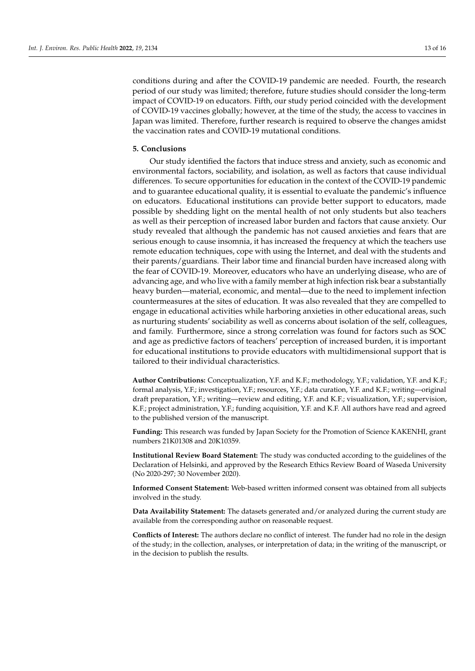conditions during and after the COVID-19 pandemic are needed. Fourth, the research period of our study was limited; therefore, future studies should consider the long-term impact of COVID-19 on educators. Fifth, our study period coincided with the development of COVID-19 vaccines globally; however, at the time of the study, the access to vaccines in Japan was limited. Therefore, further research is required to observe the changes amidst the vaccination rates and COVID-19 mutational conditions.

### **5. Conclusions**

Our study identified the factors that induce stress and anxiety, such as economic and environmental factors, sociability, and isolation, as well as factors that cause individual differences. To secure opportunities for education in the context of the COVID-19 pandemic and to guarantee educational quality, it is essential to evaluate the pandemic's influence on educators. Educational institutions can provide better support to educators, made possible by shedding light on the mental health of not only students but also teachers as well as their perception of increased labor burden and factors that cause anxiety. Our study revealed that although the pandemic has not caused anxieties and fears that are serious enough to cause insomnia, it has increased the frequency at which the teachers use remote education techniques, cope with using the Internet, and deal with the students and their parents/guardians. Their labor time and financial burden have increased along with the fear of COVID-19. Moreover, educators who have an underlying disease, who are of advancing age, and who live with a family member at high infection risk bear a substantially heavy burden—material, economic, and mental—due to the need to implement infection countermeasures at the sites of education. It was also revealed that they are compelled to engage in educational activities while harboring anxieties in other educational areas, such as nurturing students' sociability as well as concerns about isolation of the self, colleagues, and family. Furthermore, since a strong correlation was found for factors such as SOC and age as predictive factors of teachers' perception of increased burden, it is important for educational institutions to provide educators with multidimensional support that is tailored to their individual characteristics.

**Author Contributions:** Conceptualization, Y.F. and K.F.; methodology, Y.F.; validation, Y.F. and K.F.; formal analysis, Y.F.; investigation, Y.F.; resources, Y.F.; data curation, Y.F. and K.F.; writing—original draft preparation, Y.F.; writing—review and editing, Y.F. and K.F.; visualization, Y.F.; supervision, K.F.; project administration, Y.F.; funding acquisition, Y.F. and K.F. All authors have read and agreed to the published version of the manuscript.

**Funding:** This research was funded by Japan Society for the Promotion of Science KAKENHI, grant numbers 21K01308 and 20K10359.

**Institutional Review Board Statement:** The study was conducted according to the guidelines of the Declaration of Helsinki, and approved by the Research Ethics Review Board of Waseda University (No 2020-297; 30 November 2020).

**Informed Consent Statement:** Web-based written informed consent was obtained from all subjects involved in the study.

**Data Availability Statement:** The datasets generated and/or analyzed during the current study are available from the corresponding author on reasonable request.

**Conflicts of Interest:** The authors declare no conflict of interest. The funder had no role in the design of the study; in the collection, analyses, or interpretation of data; in the writing of the manuscript, or in the decision to publish the results.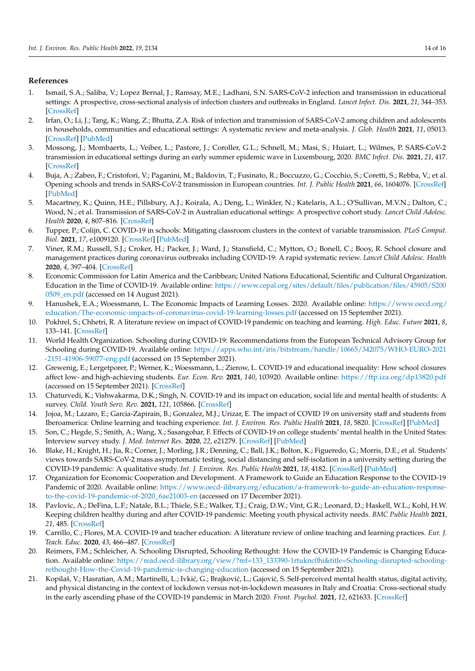# **References**

- <span id="page-13-0"></span>1. Ismail, S.A.; Saliba, V.; Lopez Bernal, J.; Ramsay, M.E.; Ladhani, S.N. SARS-CoV-2 infection and transmission in educational settings: A prospective, cross-sectional analysis of infection clusters and outbreaks in England. *Lancet Infect. Dis.* **2021**, *21*, 344–353. [\[CrossRef\]](http://doi.org/10.1016/S1473-3099(20)30882-3)
- <span id="page-13-1"></span>2. Irfan, O.; Li, J.; Tang, K.; Wang, Z.; Bhutta, Z.A. Risk of infection and transmission of SARS-CoV-2 among children and adolescents in households, communities and educational settings: A systematic review and meta-analysis. *J. Glob. Health* **2021**, *11*, 05013. [\[CrossRef\]](http://doi.org/10.7189/jogh.11.05013) [\[PubMed\]](http://www.ncbi.nlm.nih.gov/pubmed/34326997)
- <span id="page-13-2"></span>3. Mossong, J.; Mombaerts, L.; Veiber, L.; Pastore, J.; Coroller, G.L.; Schnell, M.; Masi, S.; Huiart, L.; Wilmes, P. SARS-CoV-2 transmission in educational settings during an early summer epidemic wave in Luxembourg, 2020. *BMC Infect. Dis.* **2021**, *21*, 417. [\[CrossRef\]](http://doi.org/10.1186/s12879-021-06089-5)
- <span id="page-13-3"></span>4. Buja, A.; Zabeo, F.; Cristofori, V.; Paganini, M.; Baldovin, T.; Fusinato, R.; Boccuzzo, G.; Cocchio, S.; Coretti, S.; Rebba, V.; et al. Opening schools and trends in SARS-CoV-2 transmission in European countries. *Int. J. Public Health* **2021**, *66*, 1604076. [\[CrossRef\]](http://doi.org/10.3389/ijph.2021.1604076) [\[PubMed\]](http://www.ncbi.nlm.nih.gov/pubmed/34483809)
- 5. Macartney, K.; Quinn, H.E.; Pillsbury, A.J.; Koirala, A.; Deng, L.; Winkler, N.; Katelaris, A.L.; O'Sullivan, M.V.N.; Dalton, C.; Wood, N.; et al. Transmission of SARS-CoV-2 in Australian educational settings: A prospective cohort study. *Lancet Child Adolesc. Health* **2020**, *4*, 807–816. [\[CrossRef\]](http://doi.org/10.1016/S2352-4642(20)30251-0)
- 6. Tupper, P.; Colijn, C. COVID-19 in schools: Mitigating classroom clusters in the context of variable transmission. *PLoS Comput. Biol.* **2021**, *17*, e1009120. [\[CrossRef\]](http://doi.org/10.1371/journal.pcbi.1009120) [\[PubMed\]](http://www.ncbi.nlm.nih.gov/pubmed/34237051)
- <span id="page-13-4"></span>7. Viner, R.M.; Russell, S.J.; Croker, H.; Packer, J.; Ward, J.; Stansfield, C.; Mytton, O.; Bonell, C.; Booy, R. School closure and management practices during coronavirus outbreaks including COVID-19: A rapid systematic review. *Lancet Child Adolesc. Health* **2020**, *4*, 397–404. [\[CrossRef\]](http://doi.org/10.1016/S2352-4642(20)30095-X)
- <span id="page-13-5"></span>8. Economic Commission for Latin America and the Caribbean; United Nations Educational, Scientific and Cultural Organization. Education in the Time of COVID-19. Available online: [https://www.cepal.org/sites/default/files/publication/files/45905/S200](https://www.cepal.org/sites/default/files/publication/files/45905/S2000509_en.pdf) [0509\\_en.pdf](https://www.cepal.org/sites/default/files/publication/files/45905/S2000509_en.pdf) (accessed on 14 August 2021).
- <span id="page-13-6"></span>9. Hanushek, E.A.; Woessmann, L. The Economic Impacts of Learning Losses. 2020. Available online: [https://www.oecd.org/](https://www.oecd.org/education/The-economic-impacts-of-coronavirus-covid-19-learning-losses.pdf) [education/The-economic-impacts-of-coronavirus-covid-19-learning-losses.pdf](https://www.oecd.org/education/The-economic-impacts-of-coronavirus-covid-19-learning-losses.pdf) (accessed on 15 September 2021).
- <span id="page-13-7"></span>10. Pokhrel, S.; Chhetri, R. A literature review on impact of COVID-19 pandemic on teaching and learning. *High. Educ. Future* **2021**, *8*, 133–141. [\[CrossRef\]](http://doi.org/10.1177/2347631120983481)
- <span id="page-13-8"></span>11. World Health Organization. Schooling during COVID-19: Recommendations from the European Technical Advisory Group for Schooling during COVID-19. Available online: [https://apps.who.int/iris/bitstream/handle/10665/342075/WHO-EURO-2021](https://apps.who.int/iris/bitstream/handle/10665/342075/WHO-EURO-2021-2151-41906-59077-eng.pdf) [-2151-41906-59077-eng.pdf](https://apps.who.int/iris/bitstream/handle/10665/342075/WHO-EURO-2021-2151-41906-59077-eng.pdf) (accessed on 15 September 2021).
- <span id="page-13-9"></span>12. Grewenig, E.; Lergetporer, P.; Werner, K.; Woessmann, L.; Zierow, L. COVID-19 and educational inequality: How school closures affect low- and high-achieving students. *Eur. Econ. Rev.* **2021**, *140*, 103920. Available online: <https://ftp.iza.org/dp13820.pdf> (accessed on 15 September 2021). [\[CrossRef\]](http://doi.org/10.1016/j.euroecorev.2021.103920)
- <span id="page-13-10"></span>13. Chaturvedi, K.; Vishwakarma, D.K.; Singh, N. COVID-19 and its impact on education, social life and mental health of students: A survey. *Child. Youth Serv. Rev.* **2021**, *121*, 105866. [\[CrossRef\]](http://doi.org/10.1016/j.childyouth.2020.105866)
- 14. Jojoa, M.; Lazaro, E.; Garcia-Zapirain, B.; Gonzalez, M.J.; Urizar, E. The impact of COVID 19 on university staff and students from Iberoamerica: Online learning and teaching experience. *Int. J. Environ. Res. Public Health* **2021**, *18*, 5820. [\[CrossRef\]](http://doi.org/10.3390/ijerph18115820) [\[PubMed\]](http://www.ncbi.nlm.nih.gov/pubmed/34071535)
- <span id="page-13-11"></span>15. Son, C.; Hegde, S.; Smith, A.; Wang, X.; Sasangohar, F. Effects of COVID-19 on college students' mental health in the United States: Interview survey study. *J. Med. Internet Res.* **2020**, *22*, e21279. [\[CrossRef\]](http://doi.org/10.2196/21279) [\[PubMed\]](http://www.ncbi.nlm.nih.gov/pubmed/32805704)
- <span id="page-13-12"></span>16. Blake, H.; Knight, H.; Jia, R.; Corner, J.; Morling, J.R.; Denning, C.; Ball, J.K.; Bolton, K.; Figueredo, G.; Morris, D.E.; et al. Students' views towards SARS-CoV-2 mass asymptomatic testing, social distancing and self-isolation in a university setting during the COVID-19 pandemic: A qualitative study. *Int. J. Environ. Res. Public Health* **2021**, *18*, 4182. [\[CrossRef\]](http://doi.org/10.3390/ijerph18084182) [\[PubMed\]](http://www.ncbi.nlm.nih.gov/pubmed/33920908)
- <span id="page-13-13"></span>17. Organization for Economic Cooperation and Development. A Framework to Guide an Education Response to the COVID-19 Pandemic of 2020. Available online: [https://www.oecd-ilibrary.org/education/a-framework-to-guide-an-education-response](https://www.oecd-ilibrary.org/education/a-framework-to-guide-an-education-response-to-the-covid-19-pandemic-of-2020_6ae21003-en)[to-the-covid-19-pandemic-of-2020\\_6ae21003-en](https://www.oecd-ilibrary.org/education/a-framework-to-guide-an-education-response-to-the-covid-19-pandemic-of-2020_6ae21003-en) (accessed on 17 December 2021).
- <span id="page-13-14"></span>18. Pavlovic, A.; DeFina, L.F.; Natale, B.L.; Thiele, S.E.; Walker, T.J.; Craig, D.W.; Vint, G.R.; Leonard, D.; Haskell, W.L.; Kohl, H.W. Keeping children healthy during and after COVID-19 pandemic: Meeting youth physical activity needs. *BMC Public Health* **2021**, *21*, 485. [\[CrossRef\]](http://doi.org/10.1186/s12889-021-10545-x)
- <span id="page-13-15"></span>19. Carrillo, C.; Flores, M.A. COVID-19 and teacher education: A literature review of online teaching and learning practices. *Eur. J. Teach. Educ.* **2020**, *43*, 466–487. [\[CrossRef\]](http://doi.org/10.1080/02619768.2020.1821184)
- <span id="page-13-16"></span>20. Reimers, F.M.; Schleicher, A. Schooling Disrupted, Schooling Rethought: How the COVID-19 Pandemic is Changing Education. Available online: [https://read.oecd-ilibrary.org/view/?ref=133\\_133390-1rtuknc0hi&title=Schooling-disrupted-schooling](https://read.oecd-ilibrary.org/view/?ref=133_133390-1rtuknc0hi&title=Schooling-disrupted-schooling-rethought-How-the-Covid-19-pandemic-is-changing-education)[rethought-How-the-Covid-19-pandemic-is-changing-education](https://read.oecd-ilibrary.org/view/?ref=133_133390-1rtuknc0hi&title=Schooling-disrupted-schooling-rethought-How-the-Covid-19-pandemic-is-changing-education) (accessed on 15 September 2021).
- <span id="page-13-17"></span>21. Kopilaš, V.; Hasratian, A.M.; Martinelli, L.; Ivkić, G.; Brajković, L.; Gajović, S. Self-perceived mental health status, digital activity, and physical distancing in the context of lockdown versus not-in-lockdown measures in Italy and Croatia: Cross-sectional study in the early ascending phase of the COVID-19 pandemic in March 2020. *Front. Psychol.* **2021**, *12*, 621633. [\[CrossRef\]](http://doi.org/10.3389/fpsyg.2021.621633)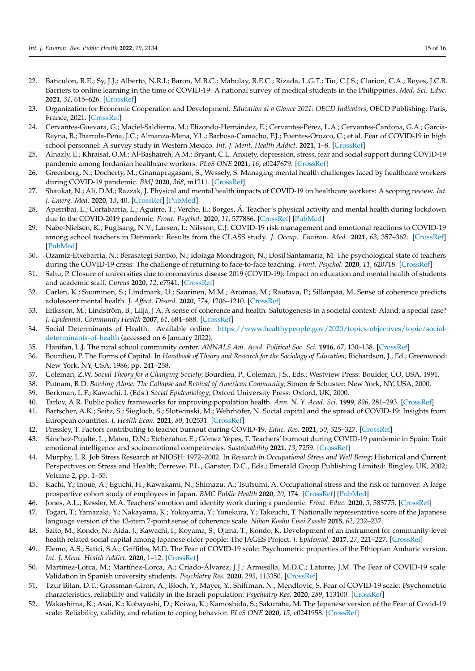- <span id="page-14-0"></span>22. Baticulon, R.E.; Sy, J.J.; Alberto, N.R.I.; Baron, M.B.C.; Mabulay, R.E.C.; Rizada, L.G.T.; Tiu, C.J.S.; Clarion, C.A.; Reyes, J.C.B. Barriers to online learning in the time of COVID-19: A national survey of medical students in the Philippines. *Med. Sci. Educ.* **2021**, *31*, 615–626. [\[CrossRef\]](http://doi.org/10.1007/s40670-021-01231-z)
- <span id="page-14-1"></span>23. Organization for Economic Cooperation and Development. *Education at a Glance 2021: OECD Indicators*; OECD Publishing: Paris, France, 2021. [\[CrossRef\]](http://doi.org/10.1787/b35a14e5-en)
- <span id="page-14-2"></span>24. Cervantes-Guevara, G.; Maciel-Saldierna, M.; Elizondo-Hernández, E.; Cervantes-Pérez, L.A.; Cervantes-Cardona, G.A.; García-Reyna, B.; Ibarrola-Peña, J.C.; Almanza-Mena, Y.L.; Barbosa-Camacho, F.J.; Fuentes-Orozco, C.; et al. Fear of COVID-19 in high school personnel: A survey study in Western Mexico. *Int. J. Ment. Health Addict.* **2021**, 1–8. [\[CrossRef\]](http://doi.org/10.1007/s11469-020-00473-z)
- <span id="page-14-17"></span>25. Alnazly, E.; Khraisat, O.M.; Al-Bashaireh, A.M.; Bryant, C.L. Anxiety, depression, stress, fear and social support during COVID-19 pandemic among Jordanian healthcare workers. *PLoS ONE* **2021**, *16*, e0247679. [\[CrossRef\]](http://doi.org/10.1371/journal.pone.0247679)
- <span id="page-14-3"></span>26. Greenberg, N.; Docherty, M.; Gnanapragasam, S.; Wessely, S. Managing mental health challenges faced by healthcare workers during COVID-19 pandemic. *BMJ* **2020**, *368*, m1211. [\[CrossRef\]](http://doi.org/10.1136/bmj.m1211)
- <span id="page-14-4"></span>27. Shaukat, N.; Ali, D.M.; Razzak, J. Physical and mental health impacts of COVID-19 on healthcare workers: A scoping review. *Int. J. Emerg. Med.* **2020**, *13*, 40. [\[CrossRef\]](http://doi.org/10.1186/s12245-020-00299-5) [\[PubMed\]](http://www.ncbi.nlm.nih.gov/pubmed/32689925)
- <span id="page-14-5"></span>28. Aperribai, L.; Cortabarria, L.; Aguirre, T.; Verche, E.; Borges, Á. Teacher's physical activity and mental health during lockdown due to the COVID-2019 pandemic. *Front. Psychol.* **2020**, *11*, 577886. [\[CrossRef\]](http://doi.org/10.3389/fpsyg.2020.577886) [\[PubMed\]](http://www.ncbi.nlm.nih.gov/pubmed/33262727)
- <span id="page-14-28"></span>29. Nabe-Nielsen, K.; Fuglsang, N.V.; Larsen, I.; Nilsson, C.J. COVID-19 risk management and emotional reactions to COVID-19 among school teachers in Denmark: Results from the CLASS study. *J. Occup. Environ. Med.* **2021**, *63*, 357–362. [\[CrossRef\]](http://doi.org/10.1097/JOM.0000000000002136) [\[PubMed\]](http://www.ncbi.nlm.nih.gov/pubmed/33928933)
- <span id="page-14-27"></span>30. Ozamiz-Etxebarria, N.; Berasategi Santxo, N.; Idoiaga Mondragon, N.; Dosil Santamaría, M. The psychological state of teachers during the COVID-19 crisis: The challenge of returning to face-to-face teaching. *Front. Psychol.* **2020**, *11*, 620718. [\[CrossRef\]](http://doi.org/10.3389/fpsyg.2020.620718)
- <span id="page-14-6"></span>31. Sahu, P. Closure of universities due to coronavirus disease 2019 (COVID-19): Impact on education and mental health of students and academic staff. *Cureus* **2020**, *12*, e7541. [\[CrossRef\]](http://doi.org/10.7759/cureus.7541)
- <span id="page-14-7"></span>32. Carlén, K.; Suominen, S.; Lindmark, U.; Saarinen, M.M.; Aromaa, M.; Rautava, P.; Sillanpää, M. Sense of coherence predicts adolescent mental health. *J. Affect. Disord.* **2020**, *274*, 1206–1210. [\[CrossRef\]](http://doi.org/10.1016/j.jad.2020.04.023)
- <span id="page-14-8"></span>33. Eriksson, M.; Lindström, B.; Lilja, J.A. A sense of coherence and health. Salutogenesis in a societal context: Aland, a special case? *J. Epidemiol. Community Health* **2007**, *61*, 684–688. [\[CrossRef\]](http://doi.org/10.1136/jech.2006.047498)
- <span id="page-14-9"></span>34. Social Determinants of Health. Available online: [https://www.healthypeople.gov/2020/topics-objectives/topic/social](https://www.healthypeople.gov/2020/topics-objectives/topic/social-determinants-of-health)[determinants-of-health](https://www.healthypeople.gov/2020/topics-objectives/topic/social-determinants-of-health) (accessed on 6 January 2022).
- <span id="page-14-10"></span>35. Hanifan, L.J. The rural school community center. *ANNALS Am. Acad. Political Soc. Sci.* **1916**, *67*, 130–138. [\[CrossRef\]](http://doi.org/10.1177/000271621606700118)
- <span id="page-14-11"></span>36. Bourdieu, P. The Forms of Capital. In *Handbook of Theory and Research for the Sociology of Education*; Richardson, J., Ed.; Greenwood: New York, NY, USA, 1986; pp. 241–258.
- <span id="page-14-12"></span>37. Coleman, Z.W. *Social Theory for a Changing Society*; Bourdieu, P., Coleman, J.S., Eds.; Westview Press: Boulder, CO, USA, 1991.
- <span id="page-14-13"></span>38. Putnam, R.D. *Bowling Alone: The Collapse and Revival of American Community*; Simon & Schuster: New York, NY, USA, 2000.
- <span id="page-14-14"></span>39. Berkman, L.F.; Kawachi, I. (Eds.) *Social Epidemiology*; Oxford University Press: Oxford, UK, 2000.
- <span id="page-14-15"></span>40. Tarlov, A.R. Public policy frameworks for improving population health. *Ann. N. Y. Acad. Sci.* **1999**, *896*, 281–293. [\[CrossRef\]](http://doi.org/10.1111/j.1749-6632.1999.tb08123.x)
- <span id="page-14-16"></span>41. Bartscher, A.K.; Seitz, S.; Siegloch, S.; Slotwinski, M.; Wehrhöfer, N. Social capital and the spread of COVID-19: Insights from European countries. *J. Health Econ.* **2021**, *80*, 102531. [\[CrossRef\]](http://doi.org/10.1016/j.jhealeco.2021.102531)
- <span id="page-14-18"></span>42. Pressley, T. Factors contributing to teacher burnout during COVID-19. *Educ. Res.* **2021**, *50*, 325–327. [\[CrossRef\]](http://doi.org/10.3102/0013189X211004138)
- <span id="page-14-19"></span>43. Sánchez-Pujalte, L.; Mateu, D.N.; Etchezahar, E.; Gómez Yepes, T. Teachers' burnout during COVID-19 pandemic in Spain: Trait emotional intelligence and socioemotional competencies. *Sustainability* **2021**, *13*, 7259. [\[CrossRef\]](http://doi.org/10.3390/su13137259)
- <span id="page-14-20"></span>44. Murphy, L.R. Job Stress Research at NIOSH: 1972–2002. In *Research in Occupational Stress and Well Being*; Historical and Current Perspectives on Stress and Health; Perrewe, P.L., Ganster, D.C., Eds.; Emerald Group Publishing Limited: Bingley, UK, 2002; Volume 2, pp. 1–55.
- <span id="page-14-21"></span>45. Kachi, Y.; Inoue, A.; Eguchi, H.; Kawakami, N.; Shimazu, A.; Tsutsumi, A. Occupational stress and the risk of turnover: A large prospective cohort study of employees in Japan. *BMC Public Health* **2020**, *20*, 174. [\[CrossRef\]](http://doi.org/10.1186/s12889-020-8289-5) [\[PubMed\]](http://www.ncbi.nlm.nih.gov/pubmed/32019535)
- <span id="page-14-22"></span>46. Jones, A.L.; Kessler, M.A. Teachers' emotion and identity work during a pandemic. *Front. Educ.* **2020**, *5*, 583775. [\[CrossRef\]](http://doi.org/10.3389/feduc.2020.583775)
- <span id="page-14-23"></span>47. Togari, T.; Yamazaki, Y.; Nakayama, K.; Yokoyama, Y.; Yonekura, Y.; Takeuchi, T. Nationally representative score of the Japanese language version of the 13-item 7-point sense of coherence scale. *Nihon Koshu Eisei Zasshi* **2015**, *62*, 232–237.
- <span id="page-14-24"></span>48. Saito, M.; Kondo, N.; Aida, J.; Kawachi, I.; Koyama, S.; Ojima, T.; Kondo, K. Development of an instrument for community-level health related social capital among Japanese older people: The JAGES Project. *J. Epidemiol.* **2017**, *27*, 221–227. [\[CrossRef\]](http://doi.org/10.1016/j.je.2016.06.005)
- <span id="page-14-25"></span>49. Elemo, A.S.; Satici, S.A.; Griffiths, M.D. The Fear of COVID-19 scale: Psychometric properties of the Ethiopian Amharic version. *Int. J. Ment. Health Addict.* **2020**, 1–12. [\[CrossRef\]](http://doi.org/10.1007/s11469-020-00448-0)
- 50. Martínez-Lorca, M.; Martínez-Lorca, A.; Criado-Álvarez, J.J.; Armesilla, M.D.C.; Latorre, J.M. The Fear of COVID-19 scale: Validation in Spanish university students. *Psychiatry Res.* **2020**, *293*, 113350. [\[CrossRef\]](http://doi.org/10.1016/j.psychres.2020.113350)
- 51. Tzur Bitan, D.T.; Grossman-Giron, A.; Bloch, Y.; Mayer, Y.; Shiffman, N.; Mendlovic, S. Fear of COVID-19 scale: Psychometric characteristics, reliability and validity in the Israeli population. *Psychiatry Res.* **2020**, *289*, 113100. [\[CrossRef\]](http://doi.org/10.1016/j.psychres.2020.113100)
- <span id="page-14-26"></span>52. Wakashima, K.; Asai, K.; Kobayashi, D.; Koiwa, K.; Kamoshida, S.; Sakuraba, M. The Japanese version of the Fear of Covid-19 scale: Reliability, validity, and relation to coping behavior. *PLoS ONE* **2020**, *15*, e0241958. [\[CrossRef\]](http://doi.org/10.1371/journal.pone.0241958)